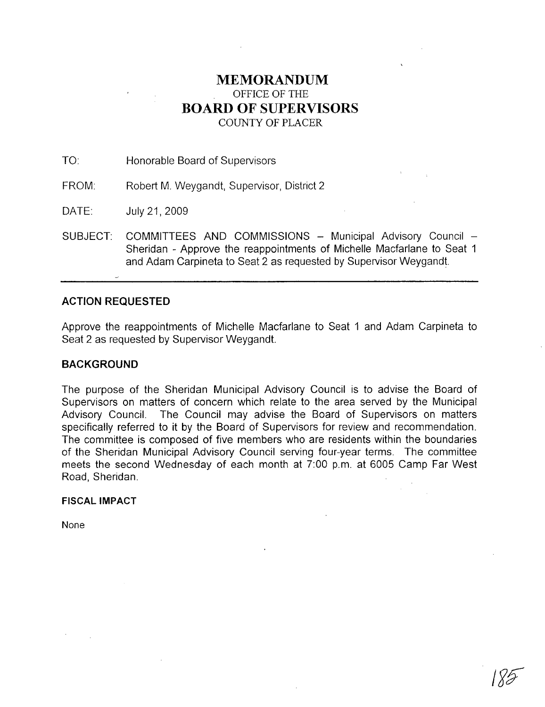# **MEMORANDUM** OFFICE OF THE **BOARD OF SUPERVISORS** COUNTY OF PLACER

TO: Honorable Board of Supervisors

FROM: Robert M. Weygandt, Supervisor, District 2

DATE: July21,2009

SUBJECT: COMMITTEES AND COMMISSIONS - Municipal Advisory Council -Sheridan - Approve the reappointments of Michelle Macfarlane to Seat 1 and Adam Carpineta to Seat 2 as requested by Supervisor Weygandt.

# **ACTION REQUESTED**

Approve the reappointments of Michelle Macfarlane to Seat 1 and Adam Carpineta to Seat 2 as requested by Supervisor Weygandt.

## **BACKGROUND**

The purpose of the Sheridan Municipal Advisory Council is to advise the Board of Supervisors on matters of concern which relate to the area served by the Municipal Advisory Council. The Council may advise the Board of Supervisors on matters specifically referred to it by the Board of Supervisors for review and recommendation. The committee is composed of five members who are residents within the boundaries of the Sheridan Municipal Advisory Council serving four-year terms. The committee meets the second Wednesday of each month at 7:00 p.m. at 6005 Camp Far West Road, Sheridan.

## **FISCAL IMPACT**

None